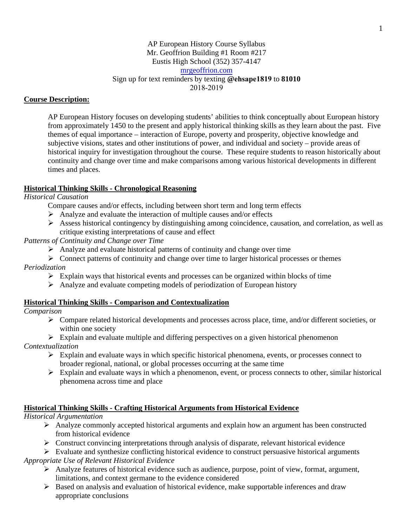# AP European History Course Syllabus Mr. Geoffrion Building #1 Room #217 Eustis High School (352) 357-4147 [mrgeoffrion.com](http://www.mrgeoffrion.com/) Sign up for text reminders by texting **@ehsape1819** to **81010**  2018-2019

# **Course Description:**

AP European History focuses on developing students' abilities to think conceptually about European history from approximately 1450 to the present and apply historical thinking skills as they learn about the past. Five themes of equal importance – interaction of Europe, poverty and prosperity, objective knowledge and subjective visions, states and other institutions of power, and individual and society – provide areas of historical inquiry for investigation throughout the course. These require students to reason historically about continuity and change over time and make comparisons among various historical developments in different times and places.

# **Historical Thinking Skills - Chronological Reasoning**

## *Historical Causation*

Compare causes and/or effects, including between short term and long term effects

- $\triangleright$  Analyze and evaluate the interaction of multiple causes and/or effects
- $\triangleright$  Assess historical contingency by distinguishing among coincidence, causation, and correlation, as well as critique existing interpretations of cause and effect

*Patterns of Continuity and Change over Time* 

- $\triangleright$  Analyze and evaluate historical patterns of continuity and change over time
- $\triangleright$  Connect patterns of continuity and change over time to larger historical processes or themes

# *Periodization*

- $\triangleright$  Explain ways that historical events and processes can be organized within blocks of time
- $\triangleright$  Analyze and evaluate competing models of periodization of European history

## **Historical Thinking Skills - Comparison and Contextualization**

## *Comparison*

- $\triangleright$  Compare related historical developments and processes across place, time, and/or different societies, or within one society
- $\triangleright$  Explain and evaluate multiple and differing perspectives on a given historical phenomenon

## *Contextualization*

- $\triangleright$  Explain and evaluate ways in which specific historical phenomena, events, or processes connect to broader regional, national, or global processes occurring at the same time
- $\triangleright$  Explain and evaluate ways in which a phenomenon, event, or process connects to other, similar historical phenomena across time and place

## **Historical Thinking Skills - Crafting Historical Arguments from Historical Evidence**

## *Historical Argumentation*

- $\triangleright$  Analyze commonly accepted historical arguments and explain how an argument has been constructed from historical evidence
- $\triangleright$  Construct convincing interpretations through analysis of disparate, relevant historical evidence

 $\triangleright$  Evaluate and synthesize conflicting historical evidence to construct persuasive historical arguments *Appropriate Use of Relevant Historical Evidence* 

- Analyze features of historical evidence such as audience, purpose, point of view, format, argument, limitations, and context germane to the evidence considered
- $\triangleright$  Based on analysis and evaluation of historical evidence, make supportable inferences and draw appropriate conclusions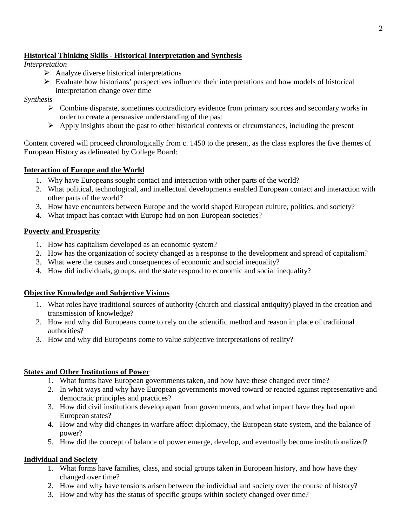#### 2

## **Historical Thinking Skills - Historical Interpretation and Synthesis**

#### *Interpretation*

- $\triangleright$  Analyze diverse historical interpretations
- $\triangleright$  Evaluate how historians' perspectives influence their interpretations and how models of historical interpretation change over time

#### *Synthesis*

- $\triangleright$  Combine disparate, sometimes contradictory evidence from primary sources and secondary works in order to create a persuasive understanding of the past
- $\triangleright$  Apply insights about the past to other historical contexts or circumstances, including the present

Content covered will proceed chronologically from c. 1450 to the present, as the class explores the five themes of European History as delineated by College Board:

### **Interaction of Europe and the World**

- 1. Why have Europeans sought contact and interaction with other parts of the world?
- 2. What political, technological, and intellectual developments enabled European contact and interaction with other parts of the world?
- 3. How have encounters between Europe and the world shaped European culture, politics, and society?
- 4. What impact has contact with Europe had on non-European societies?

### **Poverty and Prosperity**

- 1. How has capitalism developed as an economic system?
- 2. How has the organization of society changed as a response to the development and spread of capitalism?
- 3. What were the causes and consequences of economic and social inequality?
- 4. How did individuals, groups, and the state respond to economic and social inequality?

## **Objective Knowledge and Subjective Visions**

- 1. What roles have traditional sources of authority (church and classical antiquity) played in the creation and transmission of knowledge?
- 2. How and why did Europeans come to rely on the scientific method and reason in place of traditional authorities?
- 3. How and why did Europeans come to value subjective interpretations of reality?

#### **States and Other Institutions of Power**

- 1. What forms have European governments taken, and how have these changed over time?
- 2. In what ways and why have European governments moved toward or reacted against representative and democratic principles and practices?
- 3. How did civil institutions develop apart from governments, and what impact have they had upon European states?
- 4. How and why did changes in warfare affect diplomacy, the European state system, and the balance of power?
- 5. How did the concept of balance of power emerge, develop, and eventually become institutionalized?

## **Individual and Society**

- 1. What forms have families, class, and social groups taken in European history, and how have they changed over time?
- 2. How and why have tensions arisen between the individual and society over the course of history?
- 3. How and why has the status of specific groups within society changed over time?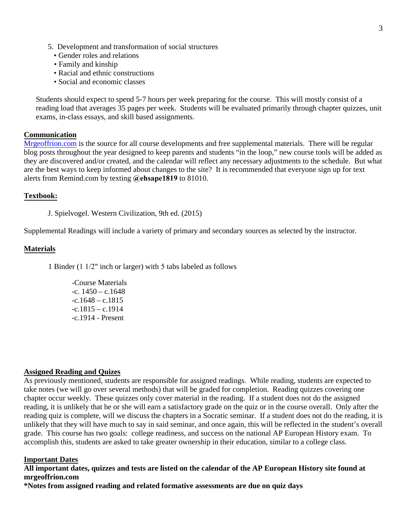- 5. Development and transformation of social structures
	- Gender roles and relations
	- Family and kinship
	- Racial and ethnic constructions
	- Social and economic classes

Students should expect to spend 5-7 hours per week preparing for the course. This will mostly consist of a reading load that averages 35 pages per week. Students will be evaluated primarily through chapter quizzes, unit exams, in-class essays, and skill based assignments.

### **Communication**

[Mrgeoffrion.com](http://www.mrgeoffrion.com/) is the source for all course developments and free supplemental materials. There will be regular blog posts throughout the year designed to keep parents and students "in the loop," new course tools will be added as they are discovered and/or created, and the calendar will reflect any necessary adjustments to the schedule. But what are the best ways to keep informed about changes to the site? It is recommended that everyone sign up for text alerts from Remind.com by texting **@ehsape1819** to 81010.

#### **Textbook:**

J. Spielvogel. Western Civilization, 9th ed. (2015)

Supplemental Readings will include a variety of primary and secondary sources as selected by the instructor.

#### **Materials**

1 Binder (1 1/2" inch or larger) with 5 tabs labeled as follows

-Course Materials -c. 1450 – c.1648 -c.1648 – c.1815  $-c.1815 - c.1914$ -c.1914 - Present

#### **Assigned Reading and Quizes**

As previously mentioned, students are responsible for assigned readings. While reading, students are expected to take notes (we will go over several methods) that will be graded for completion. Reading quizzes covering one chapter occur weekly. These quizzes only cover material in the reading. If a student does not do the assigned reading, it is unlikely that he or she will earn a satisfactory grade on the quiz or in the course overall. Only after the reading quiz is complete, will we discuss the chapters in a Socratic seminar. If a student does not do the reading, it is unlikely that they will have much to say in said seminar, and once again, this will be reflected in the student's overall grade. This course has two goals: college readiness, and success on the national AP European History exam. To accomplish this, students are asked to take greater ownership in their education, similar to a college class.

#### **Important Dates**

### **All important dates, quizzes and tests are listed on the calendar of the AP European History site found at mrgeoffrion.com**

**\*Notes from assigned reading and related formative assessments are due on quiz days**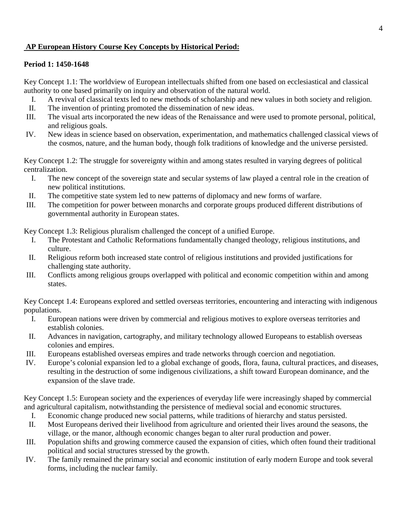# **AP European History Course Key Concepts by Historical Period:**

# **Period 1: 1450-1648**

Key Concept 1.1: The worldview of European intellectuals shifted from one based on ecclesiastical and classical authority to one based primarily on inquiry and observation of the natural world.

- I. A revival of classical texts led to new methods of scholarship and new values in both society and religion.
- II. The invention of printing promoted the dissemination of new ideas.
- III. The visual arts incorporated the new ideas of the Renaissance and were used to promote personal, political, and religious goals.
- IV. New ideas in science based on observation, experimentation, and mathematics challenged classical views of the cosmos, nature, and the human body, though folk traditions of knowledge and the universe persisted.

Key Concept 1.2: The struggle for sovereignty within and among states resulted in varying degrees of political centralization.

- I. The new concept of the sovereign state and secular systems of law played a central role in the creation of new political institutions.
- II. The competitive state system led to new patterns of diplomacy and new forms of warfare.
- III. The competition for power between monarchs and corporate groups produced different distributions of governmental authority in European states.

Key Concept 1.3: Religious pluralism challenged the concept of a unified Europe.

- I. The Protestant and Catholic Reformations fundamentally changed theology, religious institutions, and culture.
- II. Religious reform both increased state control of religious institutions and provided justifications for challenging state authority.
- III. Conflicts among religious groups overlapped with political and economic competition within and among states.

Key Concept 1.4: Europeans explored and settled overseas territories, encountering and interacting with indigenous populations.

- I. European nations were driven by commercial and religious motives to explore overseas territories and establish colonies.
- II. Advances in navigation, cartography, and military technology allowed Europeans to establish overseas colonies and empires.
- III. Europeans established overseas empires and trade networks through coercion and negotiation.
- IV. Europe's colonial expansion led to a global exchange of goods, flora, fauna, cultural practices, and diseases, resulting in the destruction of some indigenous civilizations, a shift toward European dominance, and the expansion of the slave trade.

Key Concept 1.5: European society and the experiences of everyday life were increasingly shaped by commercial and agricultural capitalism, notwithstanding the persistence of medieval social and economic structures.

- I. Economic change produced new social patterns, while traditions of hierarchy and status persisted.
- II. Most Europeans derived their livelihood from agriculture and oriented their lives around the seasons, the village, or the manor, although economic changes began to alter rural production and power.
- III. Population shifts and growing commerce caused the expansion of cities, which often found their traditional political and social structures stressed by the growth.
- IV. The family remained the primary social and economic institution of early modern Europe and took several forms, including the nuclear family.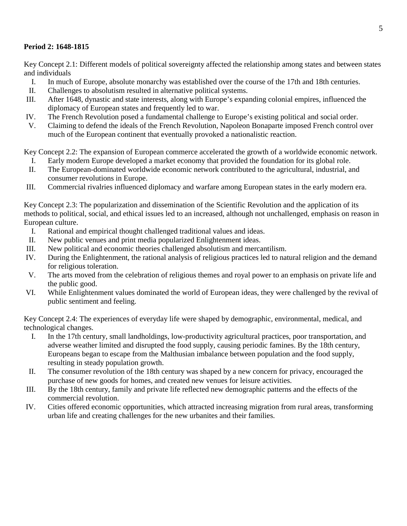### **Period 2: 1648-1815**

Key Concept 2.1: Different models of political sovereignty affected the relationship among states and between states and individuals

- I. In much of Europe, absolute monarchy was established over the course of the 17th and 18th centuries.
- II. Challenges to absolutism resulted in alternative political systems.
- III. After 1648, dynastic and state interests, along with Europe's expanding colonial empires, influenced the diplomacy of European states and frequently led to war.
- IV. The French Revolution posed a fundamental challenge to Europe's existing political and social order.
- V. Claiming to defend the ideals of the French Revolution, Napoleon Bonaparte imposed French control over much of the European continent that eventually provoked a nationalistic reaction.

Key Concept 2.2: The expansion of European commerce accelerated the growth of a worldwide economic network.

- I. Early modern Europe developed a market economy that provided the foundation for its global role.
- II. The European-dominated worldwide economic network contributed to the agricultural, industrial, and consumer revolutions in Europe.
- III. Commercial rivalries influenced diplomacy and warfare among European states in the early modern era.

Key Concept 2.3: The popularization and dissemination of the Scientific Revolution and the application of its methods to political, social, and ethical issues led to an increased, although not unchallenged, emphasis on reason in European culture.

- I. Rational and empirical thought challenged traditional values and ideas.
- II. New public venues and print media popularized Enlightenment ideas.
- III. New political and economic theories challenged absolutism and mercantilism.
- IV. During the Enlightenment, the rational analysis of religious practices led to natural religion and the demand for religious toleration.
- V. The arts moved from the celebration of religious themes and royal power to an emphasis on private life and the public good.
- VI. While Enlightenment values dominated the world of European ideas, they were challenged by the revival of public sentiment and feeling.

Key Concept 2.4: The experiences of everyday life were shaped by demographic, environmental, medical, and technological changes.

- I. In the 17th century, small landholdings, low-productivity agricultural practices, poor transportation, and adverse weather limited and disrupted the food supply, causing periodic famines. By the 18th century, Europeans began to escape from the Malthusian imbalance between population and the food supply, resulting in steady population growth.
- II. The consumer revolution of the 18th century was shaped by a new concern for privacy, encouraged the purchase of new goods for homes, and created new venues for leisure activities.
- III. By the 18th century, family and private life reflected new demographic patterns and the effects of the commercial revolution.
- IV. Cities offered economic opportunities, which attracted increasing migration from rural areas, transforming urban life and creating challenges for the new urbanites and their families.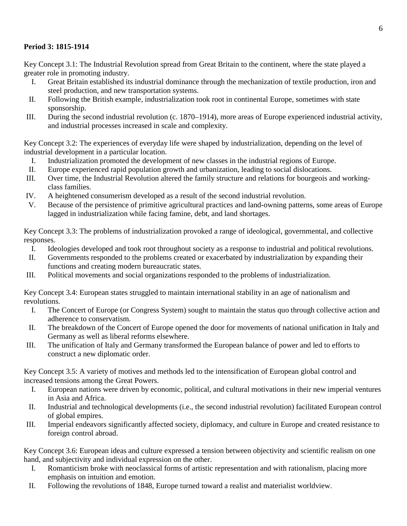# **Period 3: 1815-1914**

Key Concept 3.1: The Industrial Revolution spread from Great Britain to the continent, where the state played a greater role in promoting industry.

- I. Great Britain established its industrial dominance through the mechanization of textile production, iron and steel production, and new transportation systems.
- II. Following the British example, industrialization took root in continental Europe, sometimes with state sponsorship.
- III. During the second industrial revolution (c. 1870–1914), more areas of Europe experienced industrial activity, and industrial processes increased in scale and complexity.

Key Concept 3.2: The experiences of everyday life were shaped by industrialization, depending on the level of industrial development in a particular location.

- I. Industrialization promoted the development of new classes in the industrial regions of Europe.
- II. Europe experienced rapid population growth and urbanization, leading to social dislocations.
- III. Over time, the Industrial Revolution altered the family structure and relations for bourgeois and workingclass families.
- IV. A heightened consumerism developed as a result of the second industrial revolution.
- V. Because of the persistence of primitive agricultural practices and land-owning patterns, some areas of Europe lagged in industrialization while facing famine, debt, and land shortages.

Key Concept 3.3: The problems of industrialization provoked a range of ideological, governmental, and collective responses.

- I. Ideologies developed and took root throughout society as a response to industrial and political revolutions.
- II. Governments responded to the problems created or exacerbated by industrialization by expanding their functions and creating modern bureaucratic states.
- III. Political movements and social organizations responded to the problems of industrialization.

Key Concept 3.4: European states struggled to maintain international stability in an age of nationalism and revolutions.

- I. The Concert of Europe (or Congress System) sought to maintain the status quo through collective action and adherence to conservatism.
- II. The breakdown of the Concert of Europe opened the door for movements of national unification in Italy and Germany as well as liberal reforms elsewhere.
- III. The unification of Italy and Germany transformed the European balance of power and led to efforts to construct a new diplomatic order.

Key Concept 3.5: A variety of motives and methods led to the intensification of European global control and increased tensions among the Great Powers.

- I. European nations were driven by economic, political, and cultural motivations in their new imperial ventures in Asia and Africa.
- II. Industrial and technological developments (i.e., the second industrial revolution) facilitated European control of global empires.
- III. Imperial endeavors significantly affected society, diplomacy, and culture in Europe and created resistance to foreign control abroad.

Key Concept 3.6: European ideas and culture expressed a tension between objectivity and scientific realism on one hand, and subjectivity and individual expression on the other.

- I. Romanticism broke with neoclassical forms of artistic representation and with rationalism, placing more emphasis on intuition and emotion.
- II. Following the revolutions of 1848, Europe turned toward a realist and materialist worldview.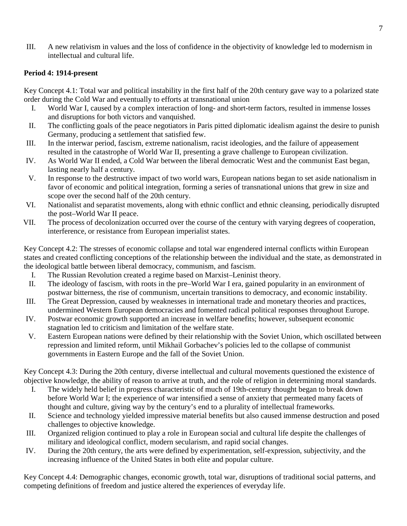III. A new relativism in values and the loss of confidence in the objectivity of knowledge led to modernism in intellectual and cultural life.

# **Period 4: 1914-present**

Key Concept 4.1: Total war and political instability in the first half of the 20th century gave way to a polarized state order during the Cold War and eventually to efforts at transnational union

- I. World War I, caused by a complex interaction of long- and short-term factors, resulted in immense losses and disruptions for both victors and vanquished.
- II. The conflicting goals of the peace negotiators in Paris pitted diplomatic idealism against the desire to punish Germany, producing a settlement that satisfied few.
- III. In the interwar period, fascism, extreme nationalism, racist ideologies, and the failure of appeasement resulted in the catastrophe of World War II, presenting a grave challenge to European civilization.
- IV. As World War II ended, a Cold War between the liberal democratic West and the communist East began, lasting nearly half a century.
- V. In response to the destructive impact of two world wars, European nations began to set aside nationalism in favor of economic and political integration, forming a series of transnational unions that grew in size and scope over the second half of the 20th century.
- VI. Nationalist and separatist movements, along with ethnic conflict and ethnic cleansing, periodically disrupted the post–World War II peace.
- VII. The process of decolonization occurred over the course of the century with varying degrees of cooperation, interference, or resistance from European imperialist states.

Key Concept 4.2: The stresses of economic collapse and total war engendered internal conflicts within European states and created conflicting conceptions of the relationship between the individual and the state, as demonstrated in the ideological battle between liberal democracy, communism, and fascism.

- I. The Russian Revolution created a regime based on Marxist–Leninist theory.
- II. The ideology of fascism, with roots in the pre–World War I era, gained popularity in an environment of postwar bitterness, the rise of communism, uncertain transitions to democracy, and economic instability.
- III. The Great Depression, caused by weaknesses in international trade and monetary theories and practices, undermined Western European democracies and fomented radical political responses throughout Europe.
- IV. Postwar economic growth supported an increase in welfare benefits; however, subsequent economic stagnation led to criticism and limitation of the welfare state.
- V. Eastern European nations were defined by their relationship with the Soviet Union, which oscillated between repression and limited reform, until Mikhail Gorbachev's policies led to the collapse of communist governments in Eastern Europe and the fall of the Soviet Union.

Key Concept 4.3: During the 20th century, diverse intellectual and cultural movements questioned the existence of objective knowledge, the ability of reason to arrive at truth, and the role of religion in determining moral standards.

- I. The widely held belief in progress characteristic of much of 19th-century thought began to break down before World War I; the experience of war intensified a sense of anxiety that permeated many facets of thought and culture, giving way by the century's end to a plurality of intellectual frameworks.
- II. Science and technology yielded impressive material benefits but also caused immense destruction and posed challenges to objective knowledge.
- III. Organized religion continued to play a role in European social and cultural life despite the challenges of military and ideological conflict, modern secularism, and rapid social changes.
- IV. During the 20th century, the arts were defined by experimentation, self-expression, subjectivity, and the increasing influence of the United States in both elite and popular culture.

Key Concept 4.4: Demographic changes, economic growth, total war, disruptions of traditional social patterns, and competing definitions of freedom and justice altered the experiences of everyday life.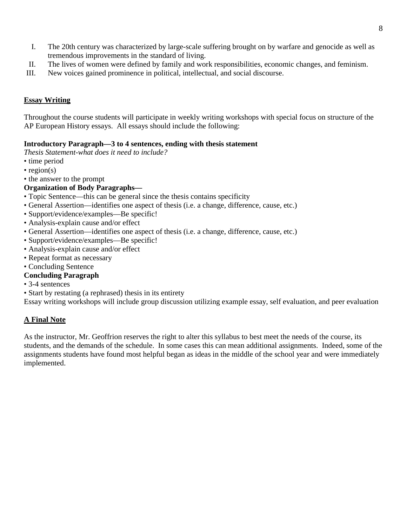- I. The 20th century was characterized by large-scale suffering brought on by warfare and genocide as well as tremendous improvements in the standard of living.
- II. The lives of women were defined by family and work responsibilities, economic changes, and feminism.
- III. New voices gained prominence in political, intellectual, and social discourse.

# **Essay Writing**

Throughout the course students will participate in weekly writing workshops with special focus on structure of the AP European History essays. All essays should include the following:

# **Introductory Paragraph—3 to 4 sentences, ending with thesis statement**

*Thesis Statement-what does it need to include?* 

- time period
- region(s)
- the answer to the prompt

# **Organization of Body Paragraphs—**

- Topic Sentence—this can be general since the thesis contains specificity
- General Assertion—identifies one aspect of thesis (i.e. a change, difference, cause, etc.)
- Support/evidence/examples—Be specific!
- Analysis-explain cause and/or effect
- General Assertion—identifies one aspect of thesis (i.e. a change, difference, cause, etc.)
- Support/evidence/examples—Be specific!
- Analysis-explain cause and/or effect
- Repeat format as necessary
- Concluding Sentence

# **Concluding Paragraph**

- 3-4 sentences
- Start by restating (a rephrased) thesis in its entirety

Essay writing workshops will include group discussion utilizing example essay, self evaluation, and peer evaluation

# **A Final Note**

As the instructor, Mr. Geoffrion reserves the right to alter this syllabus to best meet the needs of the course, its students, and the demands of the schedule. In some cases this can mean additional assignments. Indeed, some of the assignments students have found most helpful began as ideas in the middle of the school year and were immediately implemented.